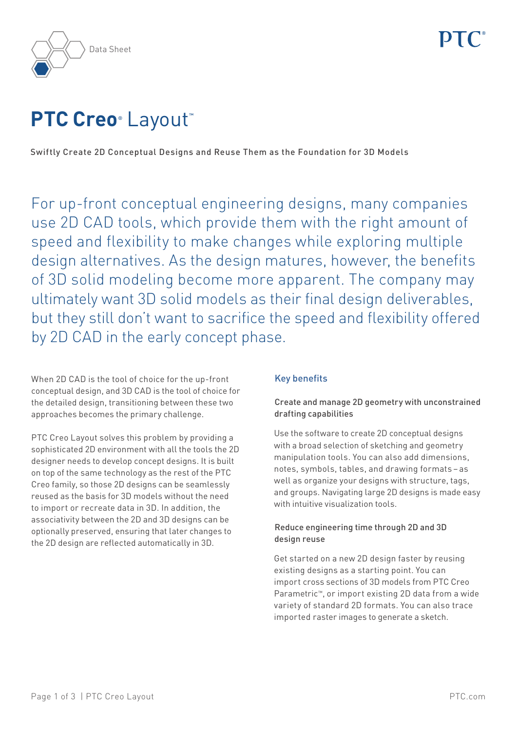

# **PTC Creo**® Layout™

Swiftly Create 2D Conceptual Designs and Reuse Them as the Foundation for 3D Models

For up-front conceptual engineering designs, many companies use 2D CAD tools, which provide them with the right amount of speed and flexibility to make changes while exploring multiple design alternatives. As the design matures, however, the benefits of 3D solid modeling become more apparent. The company may ultimately want 3D solid models as their final design deliverables, but they still don't want to sacrifice the speed and flexibility offered by 2D CAD in the early concept phase.

When 2D CAD is the tool of choice for the up-front conceptual design, and 3D CAD is the tool of choice for the detailed design, transitioning between these two approaches becomes the primary challenge.

PTC Creo Layout solves this problem by providing a sophisticated 2D environment with all the tools the 2D designer needs to develop concept designs. It is built on top of the same technology as the rest of the PTC Creo family, so those 2D designs can be seamlessly reused as the basis for 3D models without the need to import or recreate data in 3D. In addition, the associativity between the 2D and 3D designs can be optionally preserved, ensuring that later changes to the 2D design are reflected automatically in 3D.

# Key benefits

# Create and manage 2D geometry with unconstrained drafting capabilities

Use the software to create 2D conceptual designs with a broad selection of sketching and geometry manipulation tools. You can also add dimensions, notes, symbols, tables, and drawing formats – as well as organize your designs with structure, tags, and groups. Navigating large 2D designs is made easy with intuitive visualization tools.

# Reduce engineering time through 2D and 3D design reuse

Get started on a new 2D design faster by reusing existing designs as a starting point. You can import cross sections of 3D models from PTC Creo Parametric™, or import existing 2D data from a wide variety of standard 2D formats. You can also trace imported raster images to generate a sketch.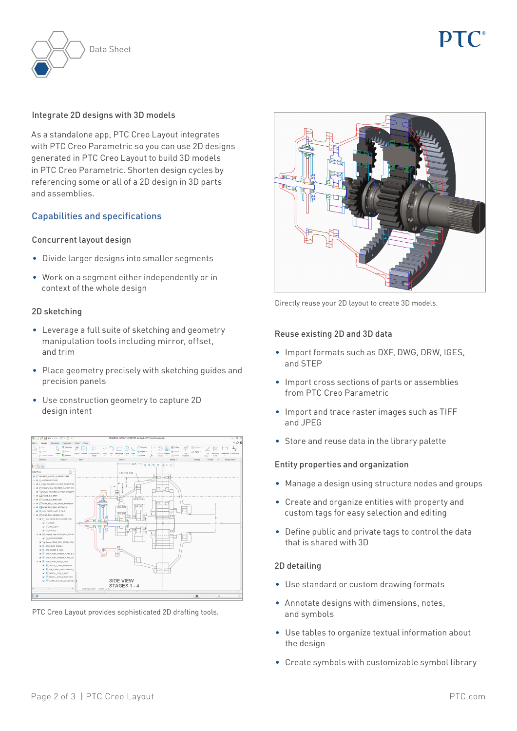

#### Integrate 2D designs with 3D models

As a standalone app, PTC Creo Layout integrates with PTC Creo Parametric so you can use 2D designs generated in PTC Creo Layout to build 3D models in PTC Creo Parametric. Shorten design cycles by referencing some or all of a 2D design in 3D parts and assemblies.

## Capabilities and specifications

#### Concurrent layout design

- • Divide larger designs into smaller segments
- Work on a segment either independently or in context of the whole design

#### 2D sketching

- Leverage a full suite of sketching and geometry manipulation tools including mirror, offset, and trim
- • Place geometry precisely with sketching guides and precision panels
- Use construction geometry to capture 2D design intent



PTC Creo Layout provides sophisticated 2D drafting tools.



Directly reuse your 2D layout to create 3D models.

#### Reuse existing 2D and 3D data

- Import formats such as DXF, DWG, DRW, IGES, and STEP
- Import cross sections of parts or assemblies from PTC Creo Parametric
- • Import and trace raster images such as TIFF and JPEG
- Store and reuse data in the library palette

#### Entity properties and organization

- Manage a design using structure nodes and groups
- • Create and organize entities with property and custom tags for easy selection and editing
- • Define public and private tags to control the data that is shared with 3D

### 2D detailing

- Use standard or custom drawing formats
- • Annotate designs with dimensions, notes, and symbols
- Use tables to organize textual information about the design
- Create symbols with customizable symbol library